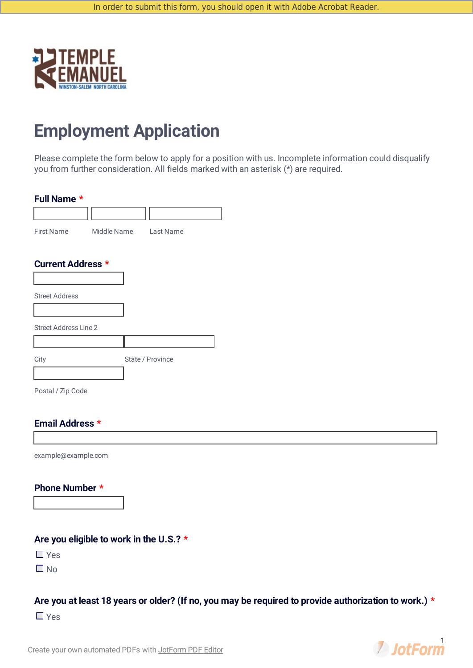

# **Employment Application**

Please complete the form below to apply for a position with us. Incomplete information could disqualify you from further consideration. All fields marked with an asterisk (\*) are required.

#### **Full Name \***

| First Name                   | Middle Name Last Name |                  |
|------------------------------|-----------------------|------------------|
| <b>Current Address *</b>     |                       |                  |
|                              |                       |                  |
| <b>Street Address</b>        |                       |                  |
|                              |                       |                  |
| <b>Street Address Line 2</b> |                       |                  |
|                              |                       |                  |
| City                         |                       | State / Province |
|                              |                       |                  |
| Postal / Zip Code            |                       |                  |

#### **Email Address \***

example@example.com

#### **Phone Number \***

### **Are you eligible to work in the U.S.? \***

 $\Box$  Yes

 $\Box$  No

#### Are you at least 18 years or older? (If no, you may be required to provide authorization to work.) \*

■ Yes



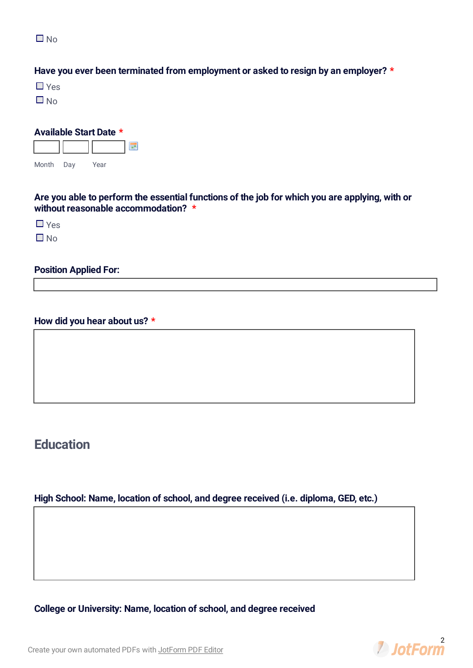$\Box$  No

#### **Have you ever been terminated from employment or asked to resign by an employer? \***

■ Yes

 $\Box$  No

| <b>Available Start Date *</b> |     |      |  |  |
|-------------------------------|-----|------|--|--|
|                               |     |      |  |  |
| Month                         | Dav | Year |  |  |

**Are you able to perform the essential functions of the job for which you are applying, with or without reasonable accommodation? \***

Yes

 $\Box$  No

#### **Position Applied For:**

#### **How did you hear about us? \***

# **Education**

### **High School: Name, location of school, and degree received (i.e. diploma, GED, etc.)**

**College or University: Name, location of school, and degree received**



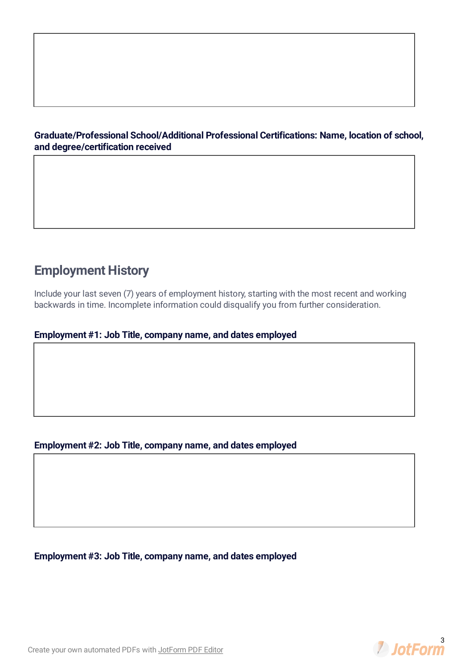#### **Graduate/Professional School/Additional Professional Certifications: Name, location of school, and degree/certification received**

# **Employment History**

Include your last seven (7) years of employment history, starting with the most recent and working backwards in time. Incomplete information could disqualify you from further consideration.

#### **Employment #1: Job Title, company name, and dates employed**

#### **Employment #2: Job Title, company name, and dates employed**

**Employment #3: Job Title, company name, and dates employed**

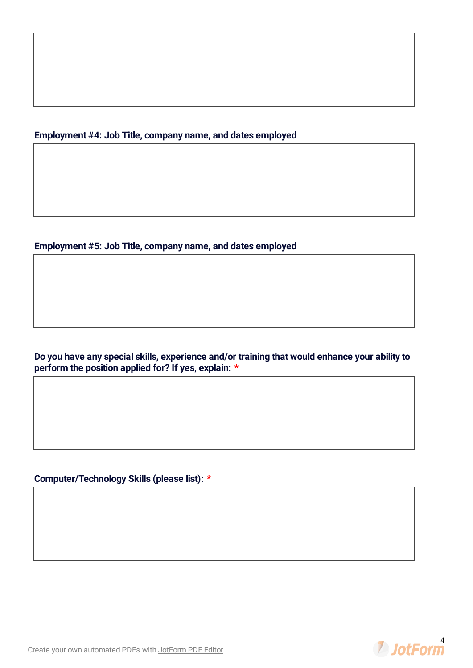#### **Employment #4: Job Title, company name, and dates employed**

#### **Employment #5: Job Title, company name, and dates employed**

**Do you have any special skills, experience and/or training that would enhance your ability to perform the position applied for? If yes, explain: \***

**Computer/Technology Skills (please list): \***



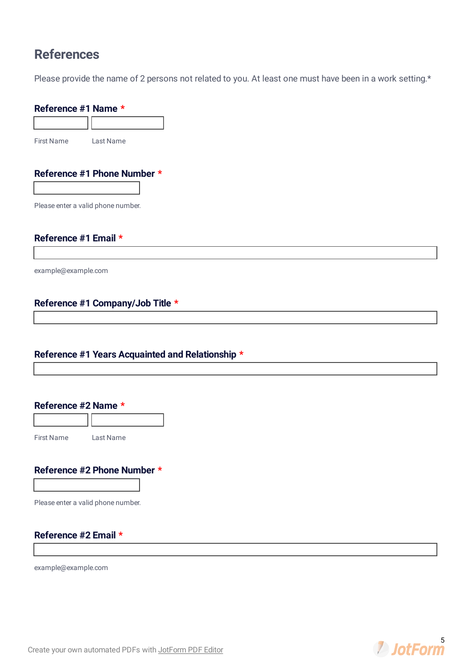# **References**

Please provide the name of 2 persons not related to you. At least one must have been in a work setting.\*

# **Reference #1 Name \*** First Name Last Name **Reference #1 Phone Number \*** Please enter a valid phone number. **Reference #1 Email \*** example@example.com

#### **Reference #1 Years Acquainted and Relationship \***

#### **Reference #2 Name \***

First Name Last Name

#### **Reference #2 Phone Number \***

**Reference #1 Company/Job Title \***

Please enter a valid phone number.

#### **Reference #2 Email \***

example@example.com